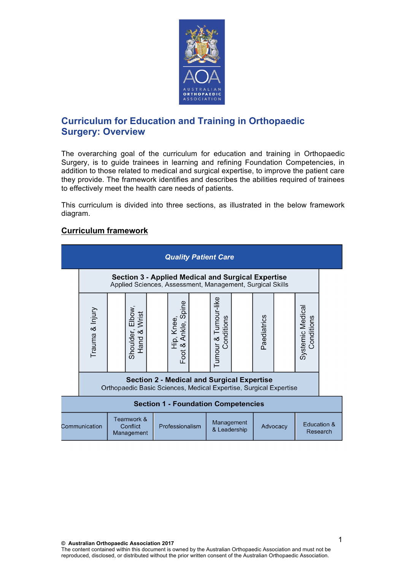

## **Curriculum for Education and Training in Orthopaedic Surgery: Overview**

The overarching goal of the curriculum for education and training in Orthopaedic Surgery, is to guide trainees in learning and refining Foundation Competencies, in addition to those related to medical and surgical expertise, to improve the patient care they provide. The framework identifies and describes the abilities required of trainees to effectively meet the health care needs of patients.

This curriculum is divided into three sections, as illustrated in the below framework diagram.

## **Curriculum framework**

| <b>Quality Patient Care</b>                           |                                                                                                                        |  |                                                 |                 |                                                     |                            |                                    |          |             |                         |                                |  |
|-------------------------------------------------------|------------------------------------------------------------------------------------------------------------------------|--|-------------------------------------------------|-----------------|-----------------------------------------------------|----------------------------|------------------------------------|----------|-------------|-------------------------|--------------------------------|--|
|                                                       | <b>Section 3 - Applied Medical and Surgical Expertise</b><br>Applied Sciences, Assessment, Management, Surgical Skills |  |                                                 |                 |                                                     |                            |                                    |          |             |                         |                                |  |
|                                                       | Trauma & Injury                                                                                                        |  | Elbow<br>Wrist<br>$\infty$<br>Shoulder,<br>Hand |                 | Hip, Knee,<br>Hip, Knee,<br>Ale, Spine<br>Foot $\&$ |                            | Tumour & Tumour-like<br>Conditions |          | Paediatrics |                         | Systemic Medical<br>Conditions |  |
|                                                       | <b>Section 2 - Medical and Surgical Expertise</b><br>Orthopaedic Basic Sciences, Medical Expertise, Surgical Expertise |  |                                                 |                 |                                                     |                            |                                    |          |             |                         |                                |  |
| <b>Section 1 - Foundation Competencies</b>            |                                                                                                                        |  |                                                 |                 |                                                     |                            |                                    |          |             |                         |                                |  |
| Teamwork &<br>Conflict<br>Communication<br>Management |                                                                                                                        |  |                                                 | Professionalism |                                                     | Management<br>& Leadership |                                    | Advocacy |             | Education &<br>Research |                                |  |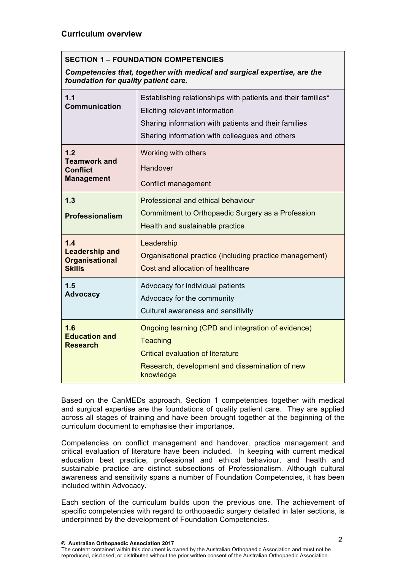## **SECTION 1 – FOUNDATION COMPETENCIES**

*Competencies that, together with medical and surgical expertise, are the foundation for quality patient care.*

| 1.1<br><b>Communication</b>                                            | Establishing relationships with patients and their families*<br>Eliciting relevant information<br>Sharing information with patients and their families<br>Sharing information with colleagues and others |  |  |  |
|------------------------------------------------------------------------|----------------------------------------------------------------------------------------------------------------------------------------------------------------------------------------------------------|--|--|--|
| 1.2<br><b>Teamwork and</b><br><b>Conflict</b><br><b>Management</b>     | Working with others<br>Handover<br><b>Conflict management</b>                                                                                                                                            |  |  |  |
| 1.3<br>Professionalism                                                 | Professional and ethical behaviour<br>Commitment to Orthopaedic Surgery as a Profession<br>Health and sustainable practice                                                                               |  |  |  |
| 1.4<br><b>Leadership and</b><br><b>Organisational</b><br><b>Skills</b> | Leadership<br>Organisational practice (including practice management)<br>Cost and allocation of healthcare                                                                                               |  |  |  |
| 1.5<br><b>Advocacy</b>                                                 | Advocacy for individual patients<br>Advocacy for the community<br>Cultural awareness and sensitivity                                                                                                     |  |  |  |
| 1.6<br><b>Education and</b><br><b>Research</b>                         | Ongoing learning (CPD and integration of evidence)<br><b>Teaching</b><br><b>Critical evaluation of literature</b><br>Research, development and dissemination of new<br>knowledge                         |  |  |  |

Based on the CanMEDs approach, Section 1 competencies together with medical and surgical expertise are the foundations of quality patient care. They are applied across all stages of training and have been brought together at the beginning of the curriculum document to emphasise their importance.

Competencies on conflict management and handover, practice management and critical evaluation of literature have been included. In keeping with current medical education best practice, professional and ethical behaviour, and health and sustainable practice are distinct subsections of Professionalism. Although cultural awareness and sensitivity spans a number of Foundation Competencies, it has been included within Advocacy.

Each section of the curriculum builds upon the previous one. The achievement of specific competencies with regard to orthopaedic surgery detailed in later sections, is underpinned by the development of Foundation Competencies.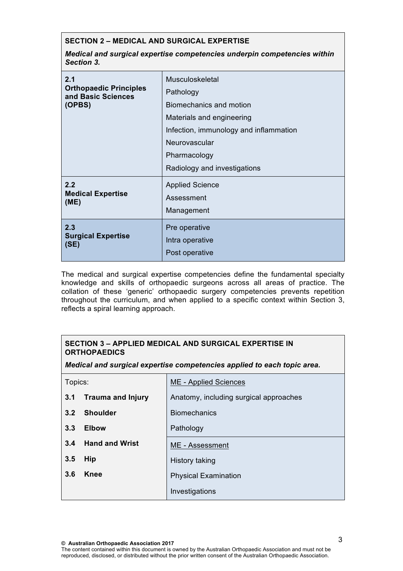## **SECTION 2 – MEDICAL AND SURGICAL EXPERTISE**

*Medical and surgical expertise competencies underpin competencies within Section 3.*

| 2.1<br><b>Orthopaedic Principles</b><br>and Basic Sciences<br>(OPBS) | <b>Musculoskeletal</b><br>Pathology<br>Biomechanics and motion<br>Materials and engineering<br>Infection, immunology and inflammation<br>Neurovascular<br>Pharmacology<br>Radiology and investigations |
|----------------------------------------------------------------------|--------------------------------------------------------------------------------------------------------------------------------------------------------------------------------------------------------|
| 2.2                                                                  | <b>Applied Science</b>                                                                                                                                                                                 |
| <b>Medical Expertise</b>                                             | Assessment                                                                                                                                                                                             |
| (ME)                                                                 | Management                                                                                                                                                                                             |
| 2.3                                                                  | Pre operative                                                                                                                                                                                          |
| <b>Surgical Expertise</b>                                            | Intra operative                                                                                                                                                                                        |
| (SE)                                                                 | Post operative                                                                                                                                                                                         |

The medical and surgical expertise competencies define the fundamental specialty knowledge and skills of orthopaedic surgeons across all areas of practice. The collation of these 'generic' orthopaedic surgery competencies prevents repetition throughout the curriculum, and when applied to a specific context within Section 3, reflects a spiral learning approach.

| <b>SECTION 3 - APPLIED MEDICAL AND SURGICAL EXPERTISE IN</b><br><b>ORTHOPAEDICS</b><br>Medical and surgical expertise competencies applied to each topic area. |                          |                                        |  |  |
|----------------------------------------------------------------------------------------------------------------------------------------------------------------|--------------------------|----------------------------------------|--|--|
| Topics:                                                                                                                                                        |                          | <b>ME</b> - Applied Sciences           |  |  |
| 3.1                                                                                                                                                            | <b>Trauma and Injury</b> | Anatomy, including surgical approaches |  |  |
| 3.2                                                                                                                                                            | <b>Shoulder</b>          | <b>Biomechanics</b>                    |  |  |
| 3.3                                                                                                                                                            | <b>Elbow</b>             | Pathology                              |  |  |
| 3.4                                                                                                                                                            | <b>Hand and Wrist</b>    | ME - Assessment                        |  |  |
| 3.5                                                                                                                                                            | Hip                      | History taking                         |  |  |
| 3.6                                                                                                                                                            | Knee                     | <b>Physical Examination</b>            |  |  |
|                                                                                                                                                                |                          | Investigations                         |  |  |